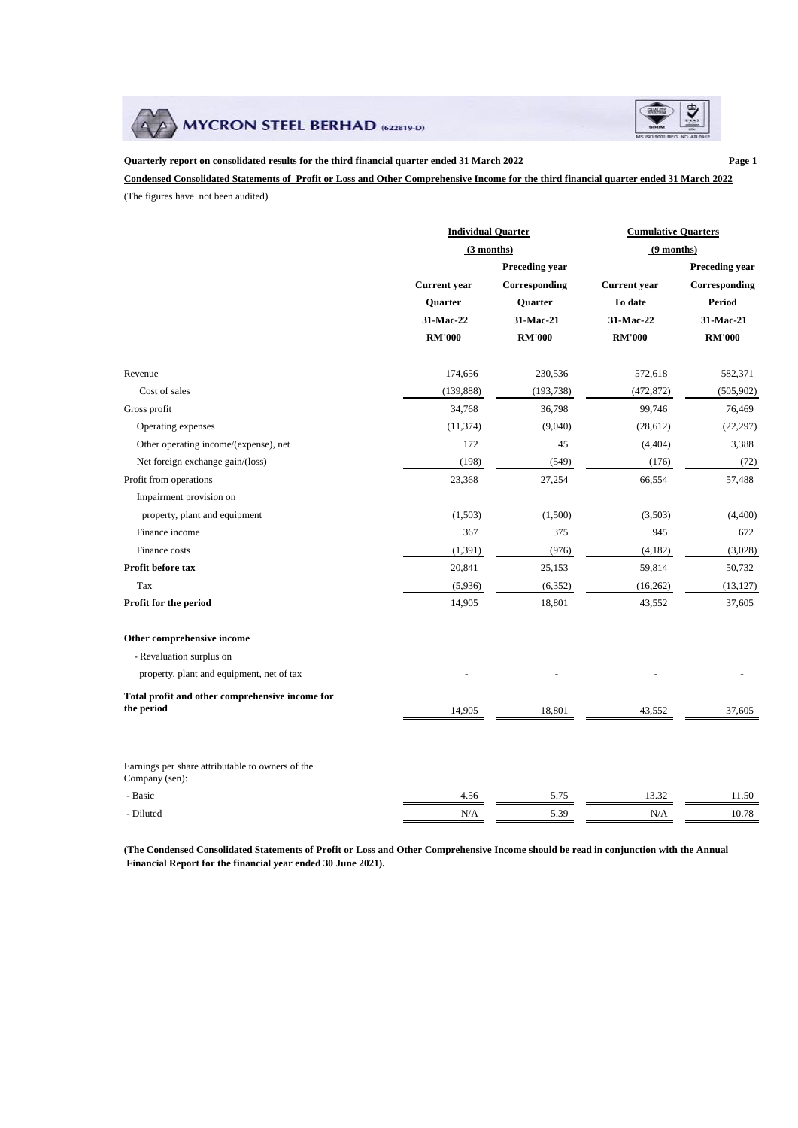



**Quarterly report on consolidated results for the third financial quarter ended 31 March 2022 Page 1 Condensed Consolidated Statements of Profit or Loss and Other Comprehensive Income for the third financial quarter ended 31 March 2022**

(The figures have not been audited)

|                                                                    | <b>Individual Quarter</b> |                | <b>Cumulative Quarters</b> |                       |  |
|--------------------------------------------------------------------|---------------------------|----------------|----------------------------|-----------------------|--|
|                                                                    |                           | (3 months)     |                            | $(9$ months)          |  |
|                                                                    |                           | Preceding year |                            | <b>Preceding year</b> |  |
|                                                                    | <b>Current</b> year       | Corresponding  | <b>Current</b> year        | Corresponding         |  |
|                                                                    | <b>Ouarter</b>            | <b>Ouarter</b> | To date                    | Period                |  |
|                                                                    | 31-Mac-22                 | 31-Mac-21      | 31-Mac-22                  | 31-Mac-21             |  |
|                                                                    | <b>RM'000</b>             | <b>RM'000</b>  | <b>RM'000</b>              | <b>RM'000</b>         |  |
| Revenue                                                            | 174,656                   | 230,536        | 572,618                    | 582,371               |  |
| Cost of sales                                                      | (139, 888)                | (193, 738)     | (472, 872)                 | (505, 902)            |  |
| Gross profit                                                       | 34,768                    | 36,798         | 99,746                     | 76,469                |  |
| Operating expenses                                                 | (11, 374)                 | (9,040)        | (28, 612)                  | (22, 297)             |  |
| Other operating income/(expense), net                              | 172                       | 45             | (4, 404)                   | 3,388                 |  |
| Net foreign exchange gain/(loss)                                   | (198)                     | (549)          | (176)                      | (72)                  |  |
| Profit from operations                                             | 23,368                    | 27,254         | 66,554                     | 57,488                |  |
| Impairment provision on                                            |                           |                |                            |                       |  |
| property, plant and equipment                                      | (1,503)                   | (1,500)        | (3,503)                    | (4,400)               |  |
| Finance income                                                     | 367                       | 375            | 945                        | 672                   |  |
| Finance costs                                                      | (1, 391)                  | (976)          | (4,182)                    | (3,028)               |  |
| Profit before tax                                                  | 20,841                    | 25,153         | 59,814                     | 50,732                |  |
| Tax                                                                | (5,936)                   | (6, 352)       | (16, 262)                  | (13, 127)             |  |
| Profit for the period                                              | 14,905                    | 18,801         | 43,552                     | 37,605                |  |
| Other comprehensive income                                         |                           |                |                            |                       |  |
| - Revaluation surplus on                                           |                           |                |                            |                       |  |
| property, plant and equipment, net of tax                          |                           |                |                            |                       |  |
| Total profit and other comprehensive income for                    |                           |                |                            |                       |  |
| the period                                                         | 14,905                    | 18,801         | 43,552                     | 37,605                |  |
| Earnings per share attributable to owners of the<br>Company (sen): |                           |                |                            |                       |  |
| - Basic                                                            | 4.56                      | 5.75           | 13.32                      | 11.50                 |  |
| - Diluted                                                          | N/A                       | 5.39           | N/A                        | 10.78                 |  |
|                                                                    |                           |                |                            |                       |  |

**(The Condensed Consolidated Statements of Profit or Loss and Other Comprehensive Income should be read in conjunction with the Annual Financial Report for the financial year ended 30 June 2021).**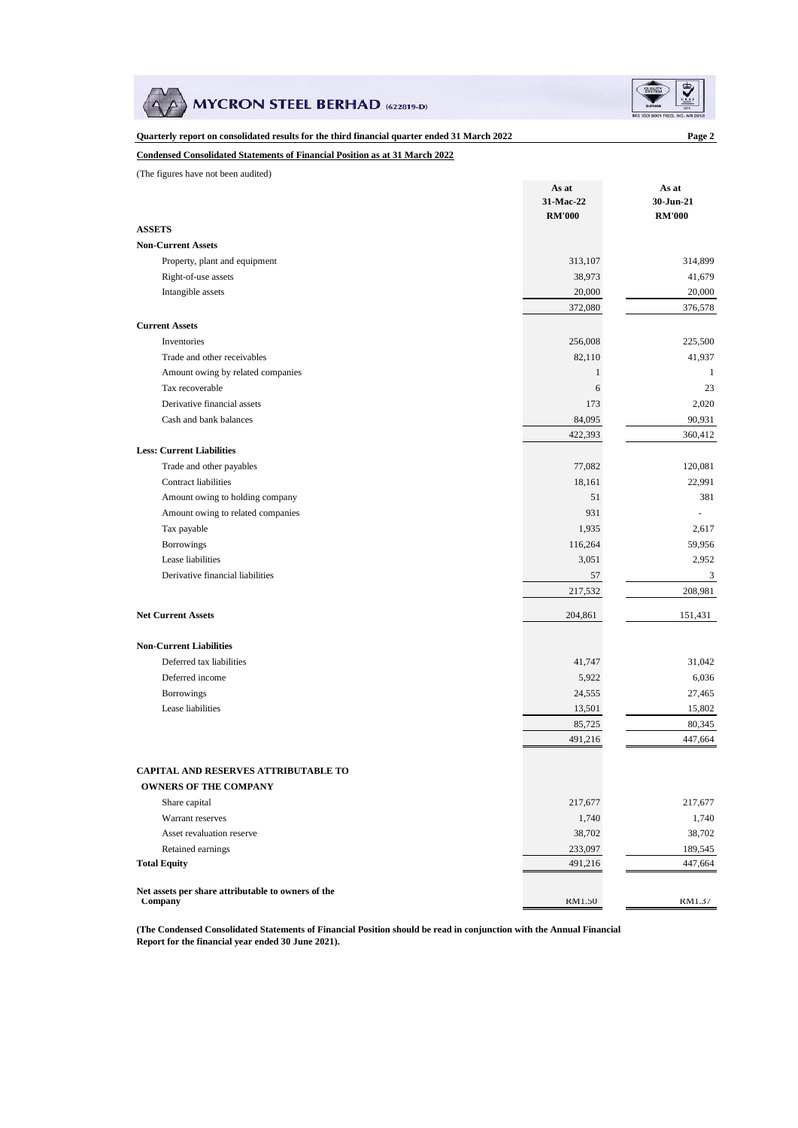**A A MYCRON STEEL BERHAD** (622819-D)



| Ouarterly<br>2022<br>t on consolidated results for the '<br>e third financial quarter ended .<br>' renort<br>March | Page |
|--------------------------------------------------------------------------------------------------------------------|------|
|                                                                                                                    |      |

### **Condensed Consolidated Statements of Financial Position as at 31 March 2022**

(The figures have not been audited)

|                                                               | As at<br>31-Mac-22 | As at<br>30-Jun-21 |
|---------------------------------------------------------------|--------------------|--------------------|
|                                                               | <b>RM'000</b>      | <b>RM'000</b>      |
| <b>ASSETS</b>                                                 |                    |                    |
| <b>Non-Current Assets</b>                                     |                    |                    |
| Property, plant and equipment                                 | 313,107            | 314,899            |
| Right-of-use assets                                           | 38,973             | 41,679             |
| Intangible assets                                             | 20,000             | 20,000             |
|                                                               | 372,080            | 376,578            |
| <b>Current Assets</b>                                         |                    |                    |
| <b>Inventories</b>                                            | 256,008            | 225,500            |
| Trade and other receivables                                   | 82,110             | 41,937             |
| Amount owing by related companies                             | $\mathbf{1}$       | -1                 |
| Tax recoverable                                               | 6                  | 23                 |
| Derivative financial assets                                   | 173                | 2,020              |
| Cash and bank balances                                        | 84,095             | 90,931             |
|                                                               | 422,393            | 360,412            |
| <b>Less: Current Liabilities</b>                              |                    |                    |
| Trade and other payables                                      | 77,082             | 120,081            |
| <b>Contract liabilities</b>                                   | 18,161             | 22,991             |
| Amount owing to holding company                               | 51                 | 381                |
| Amount owing to related companies                             | 931                |                    |
| Tax payable                                                   | 1,935              | 2,617              |
| Borrowings                                                    | 116,264            | 59,956             |
| Lease liabilities                                             | 3,051              | 2,952              |
| Derivative financial liabilities                              | 57                 | 3                  |
|                                                               | 217,532            | 208,981            |
| <b>Net Current Assets</b>                                     | 204,861            | 151,431            |
| <b>Non-Current Liabilities</b>                                |                    |                    |
| Deferred tax liabilities                                      | 41,747             | 31,042             |
| Deferred income                                               | 5,922              | 6,036              |
| Borrowings                                                    | 24,555             | 27,465             |
| Lease liabilities                                             | 13,501             | 15,802             |
|                                                               | 85,725             | 80,345             |
|                                                               | 491,216            | 447,664            |
| <b>CAPITAL AND RESERVES ATTRIBUTABLE TO</b>                   |                    |                    |
| <b>OWNERS OF THE COMPANY</b>                                  |                    |                    |
| Share capital                                                 | 217,677            | 217,677            |
| Warrant reserves                                              | 1,740              | 1,740              |
| Asset revaluation reserve                                     | 38,702             | 38,702             |
| Retained earnings                                             | 233,097            | 189,545            |
| <b>Total Equity</b>                                           | 491,216            | 447,664            |
| Net assets per share attributable to owners of the<br>Company | RM1.50             | RM1.37             |

**(The Condensed Consolidated Statements of Financial Position should be read in conjunction with the Annual Financial Report for the financial year ended 30 June 2021).**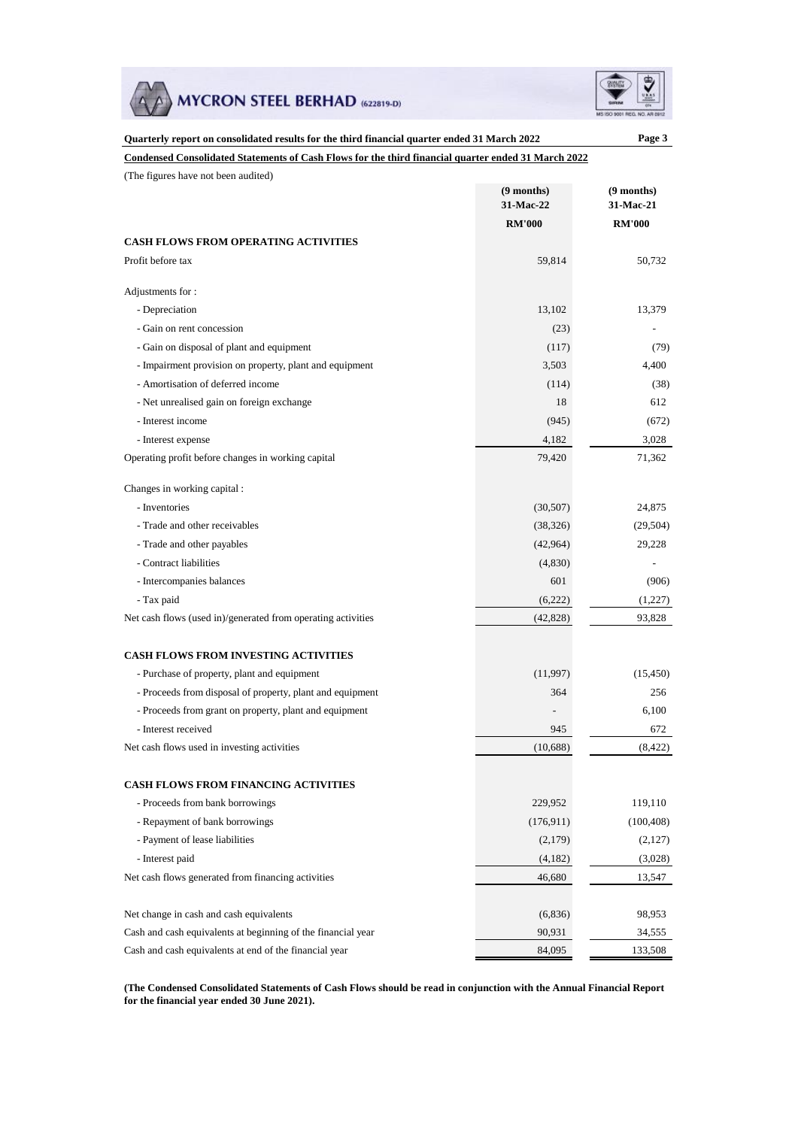



**Quarterly report on consolidated results for the third financial quarter ended 31 March 2022 Page 3 Condensed Consolidated Statements of Cash Flows for the third financial quarter ended 31 March 2022** (The figures have not been audited)  **(9 months) (9 months) 31-Mac-22 31-Mac-21 RM'000 RM'000 CASH FLOWS FROM OPERATING ACTIVITIES** Profit before tax 50.732 Adjustments for : - Depreciation 13,102 13,379 - Gain on rent concession (23) - Gain on disposal of plant and equipment (117) (79) - Impairment provision on property, plant and equipment 3,503 4,400 - Amortisation of deferred income (114) (38) - Net unrealised gain on foreign exchange 18 612 - Interest income (672) (672) - Interest expense 3,028 Operating profit before changes in working capital 79,420 71,362 Changes in working capital : - Inventories (30,507) 24,875 - Trade and other receivables (29,504) (29,504) - Trade and other payables (42,964) 29,228 - Contract liabilities (4,830) - - Intercompanies balances 601 (906) - Tax paid (6,222) (1,227) Net cash flows (used in)/generated from operating activities (42,828) 93,828 **CASH FLOWS FROM INVESTING ACTIVITIES** - Purchase of property, plant and equipment (11,997) (15,450) - Proceeds from disposal of property, plant and equipment 364 256 - Proceeds from grant on property, plant and equipment - 6,100 - Interest received 672 Net cash flows used in investing activities (10,688) (8,422) **CASH FLOWS FROM FINANCING ACTIVITIES** - Proceeds from bank borrowings 229,952 119,110 - Repayment of bank borrowings (176,911) (100,408) - Payment of lease liabilities (2,127) (2,127) - Interest paid (4,182) (3,028) Net cash flows generated from financing activities 46,680 13,547 Net change in cash and cash equivalents (6,836) 98,953 Cash and cash equivalents at beginning of the financial year 90,931 90,931 34,555 Cash and cash equivalents at end of the financial year 84,095 133,508

**(The Condensed Consolidated Statements of Cash Flows should be read in conjunction with the Annual Financial Report for the financial year ended 30 June 2021).**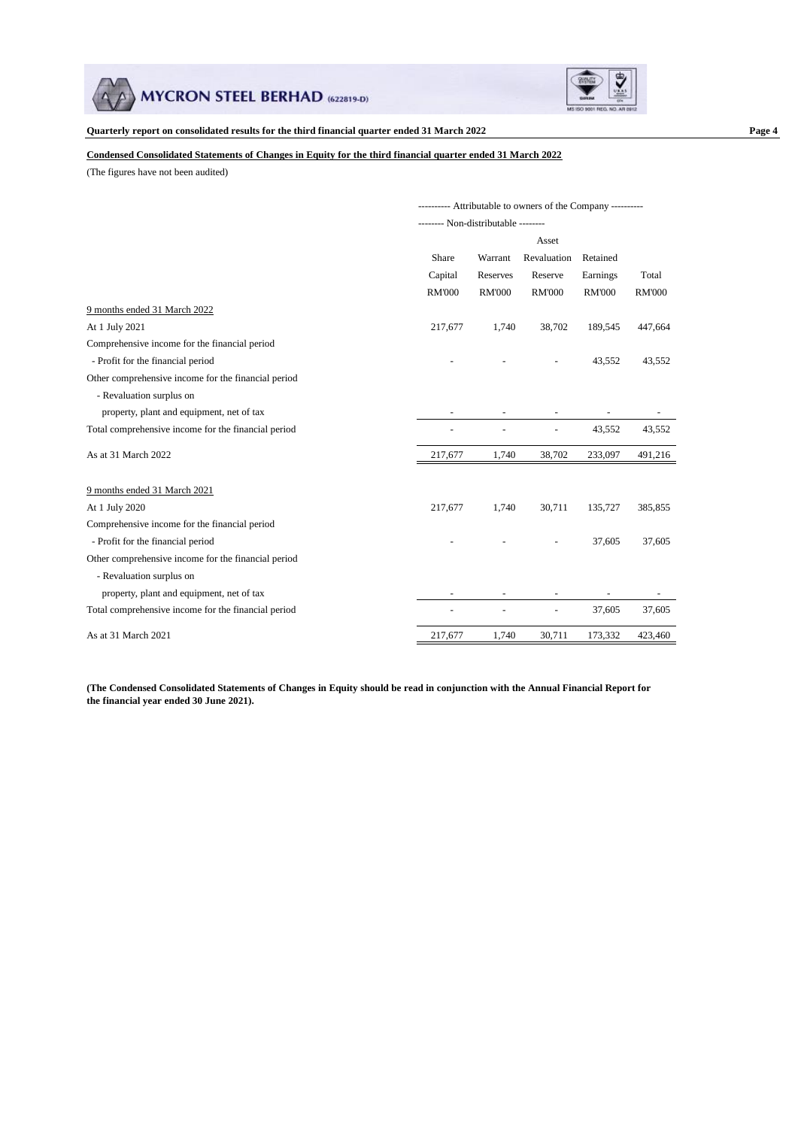



#### **Quarterly report on consolidated results for the third financial quarter ended 31 March 2022 Page 4**

#### **Condensed Consolidated Statements of Changes in Equity for the third financial quarter ended 31 March 2022**

(The figures have not been audited)

|                                                     | --------- Attributable to owners of the Company ---------- |                       |                          |               |               |
|-----------------------------------------------------|------------------------------------------------------------|-----------------------|--------------------------|---------------|---------------|
|                                                     | -------- Non-distributable --------                        |                       |                          |               |               |
|                                                     | Asset                                                      |                       |                          |               |               |
|                                                     | Share                                                      | Warrant               | Revaluation              | Retained      |               |
|                                                     | Capital                                                    | Reserves              | Reserve                  | Earnings      | Total         |
|                                                     | <b>RM'000</b>                                              | <b>RM'000</b>         | <b>RM'000</b>            | <b>RM'000</b> | <b>RM'000</b> |
| 9 months ended 31 March 2022                        |                                                            |                       |                          |               |               |
| At 1 July 2021                                      | 217,677                                                    | 1,740                 | 38,702                   | 189,545       | 447,664       |
| Comprehensive income for the financial period       |                                                            |                       |                          |               |               |
| - Profit for the financial period                   |                                                            |                       |                          | 43,552        | 43,552        |
| Other comprehensive income for the financial period |                                                            |                       |                          |               |               |
| - Revaluation surplus on                            |                                                            |                       |                          |               |               |
| property, plant and equipment, net of tax           |                                                            | $\tilde{\phantom{a}}$ | $\overline{\phantom{a}}$ |               |               |
| Total comprehensive income for the financial period |                                                            |                       |                          | 43,552        | 43,552        |
| As at 31 March 2022                                 | 217,677                                                    | 1,740                 | 38,702                   | 233,097       | 491,216       |
| 9 months ended 31 March 2021                        |                                                            |                       |                          |               |               |
| At 1 July 2020                                      | 217,677                                                    | 1,740                 | 30,711                   | 135,727       | 385,855       |
| Comprehensive income for the financial period       |                                                            |                       |                          |               |               |
| - Profit for the financial period                   |                                                            |                       |                          | 37,605        | 37,605        |
| Other comprehensive income for the financial period |                                                            |                       |                          |               |               |
| - Revaluation surplus on                            |                                                            |                       |                          |               |               |
| property, plant and equipment, net of tax           |                                                            |                       |                          |               |               |
| Total comprehensive income for the financial period |                                                            |                       | $\overline{\phantom{a}}$ | 37,605        | 37,605        |
| As at 31 March 2021                                 | 217,677                                                    | 1,740                 | 30,711                   | 173,332       | 423,460       |

**(The Condensed Consolidated Statements of Changes in Equity should be read in conjunction with the Annual Financial Report for the financial year ended 30 June 2021).**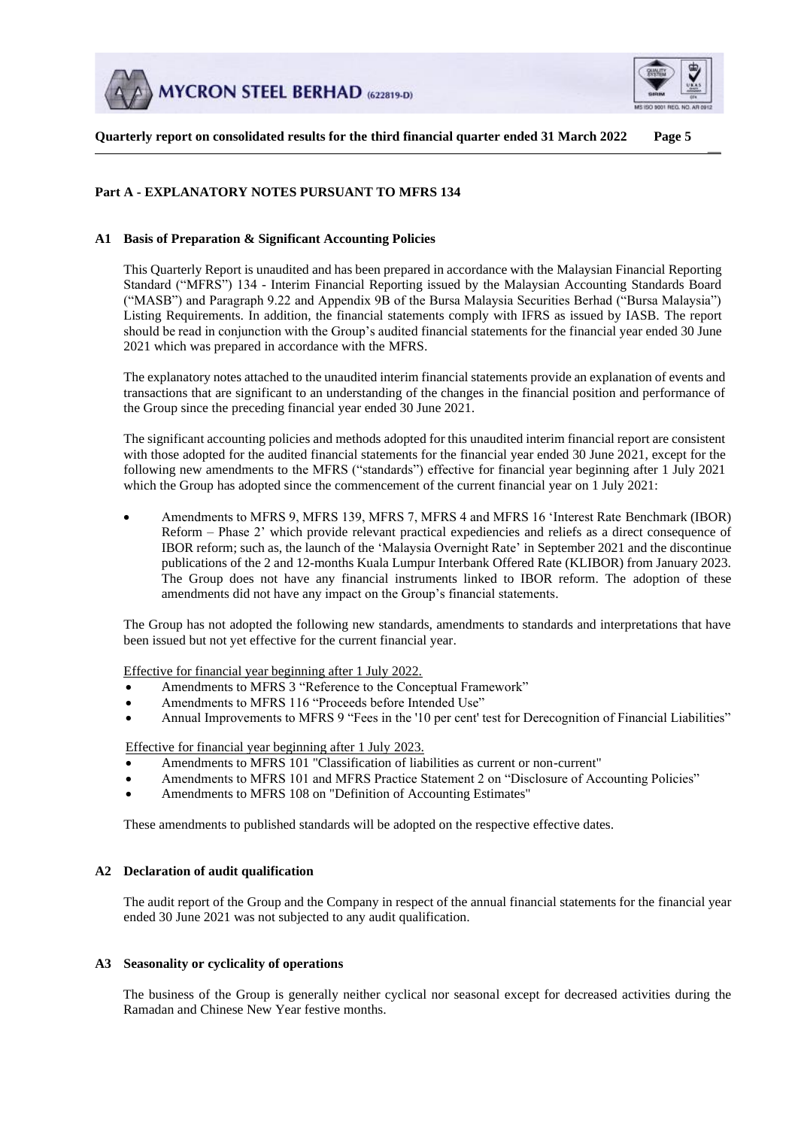



**Quarterly report on consolidated results for the third financial quarter ended 31 March 2022 Page 5**  $\overline{\phantom{a}}$ 

# **Part A - EXPLANATORY NOTES PURSUANT TO MFRS 134**

### **A1 Basis of Preparation & Significant Accounting Policies**

This Quarterly Report is unaudited and has been prepared in accordance with the Malaysian Financial Reporting Standard ("MFRS") 134 - Interim Financial Reporting issued by the Malaysian Accounting Standards Board ("MASB") and Paragraph 9.22 and Appendix 9B of the Bursa Malaysia Securities Berhad ("Bursa Malaysia") Listing Requirements. In addition, the financial statements comply with IFRS as issued by IASB. The report should be read in conjunction with the Group's audited financial statements for the financial year ended 30 June 2021 which was prepared in accordance with the MFRS.

The explanatory notes attached to the unaudited interim financial statements provide an explanation of events and transactions that are significant to an understanding of the changes in the financial position and performance of the Group since the preceding financial year ended 30 June 2021.

The significant accounting policies and methods adopted for this unaudited interim financial report are consistent with those adopted for the audited financial statements for the financial year ended 30 June 2021, except for the following new amendments to the MFRS ("standards") effective for financial year beginning after 1 July 2021 which the Group has adopted since the commencement of the current financial year on 1 July 2021:

• Amendments to MFRS 9, MFRS 139, MFRS 7, MFRS 4 and MFRS 16 'Interest Rate Benchmark (IBOR) Reform – Phase 2' which provide relevant practical expediencies and reliefs as a direct consequence of IBOR reform; such as, the launch of the 'Malaysia Overnight Rate' in September 2021 and the discontinue publications of the 2 and 12-months Kuala Lumpur Interbank Offered Rate (KLIBOR) from January 2023. The Group does not have any financial instruments linked to IBOR reform. The adoption of these amendments did not have any impact on the Group's financial statements.

The Group has not adopted the following new standards, amendments to standards and interpretations that have been issued but not yet effective for the current financial year.

Effective for financial year beginning after 1 July 2022.

- Amendments to MFRS 3 "Reference to the Conceptual Framework"
- Amendments to MFRS 116 "Proceeds before Intended Use"
- Annual Improvements to MFRS 9 "Fees in the '10 per cent' test for Derecognition of Financial Liabilities"

### Effective for financial year beginning after 1 July 2023.

- Amendments to MFRS 101 "Classification of liabilities as current or non-current"
- Amendments to MFRS 101 and MFRS Practice Statement 2 on "Disclosure of Accounting Policies"
- Amendments to MFRS 108 on "Definition of Accounting Estimates"

These amendments to published standards will be adopted on the respective effective dates.

### **A2 Declaration of audit qualification**

The audit report of the Group and the Company in respect of the annual financial statements for the financial year ended 30 June 2021 was not subjected to any audit qualification.

### **A3 Seasonality or cyclicality of operations**

The business of the Group is generally neither cyclical nor seasonal except for decreased activities during the Ramadan and Chinese New Year festive months.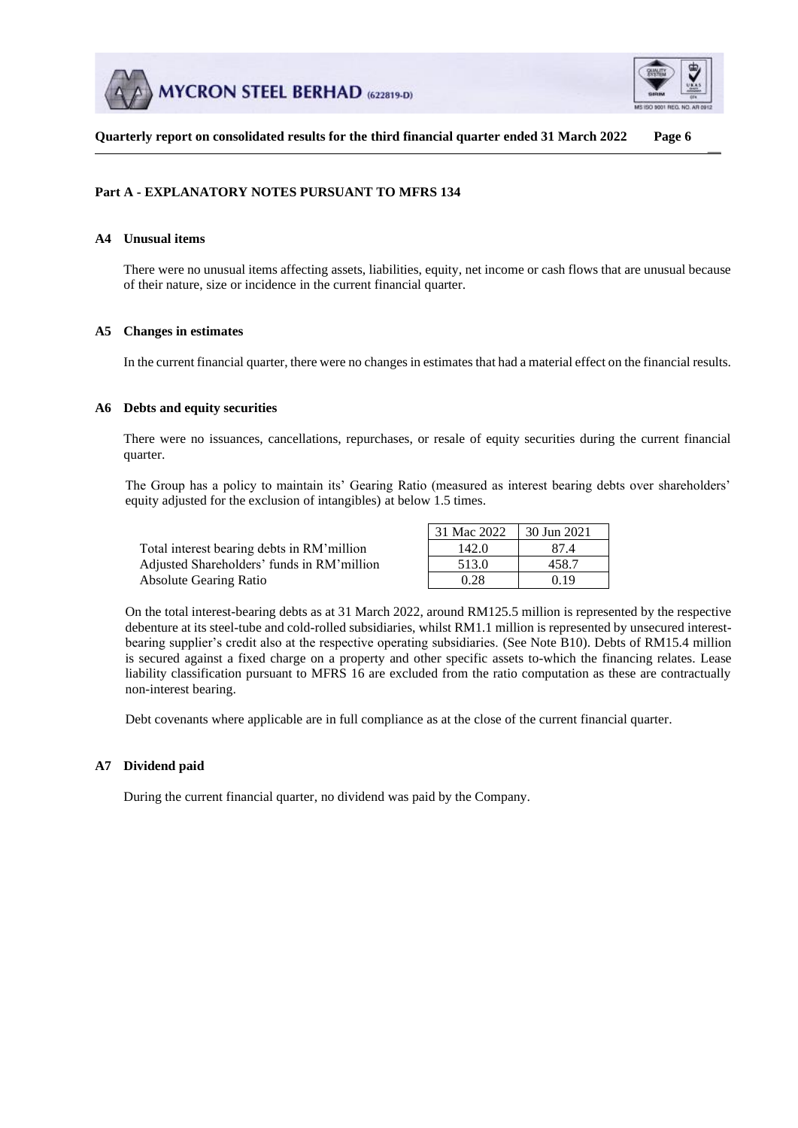



**Quarterly report on consolidated results for the third financial quarter ended 31 March 2022 Page 6**  $\overline{\phantom{a}}$ 

# **Part A - EXPLANATORY NOTES PURSUANT TO MFRS 134**

### **A4 Unusual items**

There were no unusual items affecting assets, liabilities, equity, net income or cash flows that are unusual because of their nature, size or incidence in the current financial quarter.

### **A5 Changes in estimates**

In the current financial quarter, there were no changes in estimates that had a material effect on the financial results.

### **A6 Debts and equity securities**

There were no issuances, cancellations, repurchases, or resale of equity securities during the current financial quarter.

The Group has a policy to maintain its' Gearing Ratio (measured as interest bearing debts over shareholders' equity adjusted for the exclusion of intangibles) at below 1.5 times.

|                                            | 31 Mac 2022 | $30 \text{ Jun } 2021$ |
|--------------------------------------------|-------------|------------------------|
| Total interest bearing debts in RM'million | 142.0       | 874                    |
| Adjusted Shareholders' funds in RM'million | 513.0       | 458.7                  |
| <b>Absolute Gearing Ratio</b>              | 0.28        | 0.19                   |

On the total interest-bearing debts as at 31 March 2022, around RM125.5 million is represented by the respective debenture at its steel-tube and cold-rolled subsidiaries, whilst RM1.1 million is represented by unsecured interestbearing supplier's credit also at the respective operating subsidiaries. (See Note B10). Debts of RM15.4 million is secured against a fixed charge on a property and other specific assets to-which the financing relates. Lease liability classification pursuant to MFRS 16 are excluded from the ratio computation as these are contractually non-interest bearing.

Debt covenants where applicable are in full compliance as at the close of the current financial quarter.

# **A7 Dividend paid**

During the current financial quarter, no dividend was paid by the Company.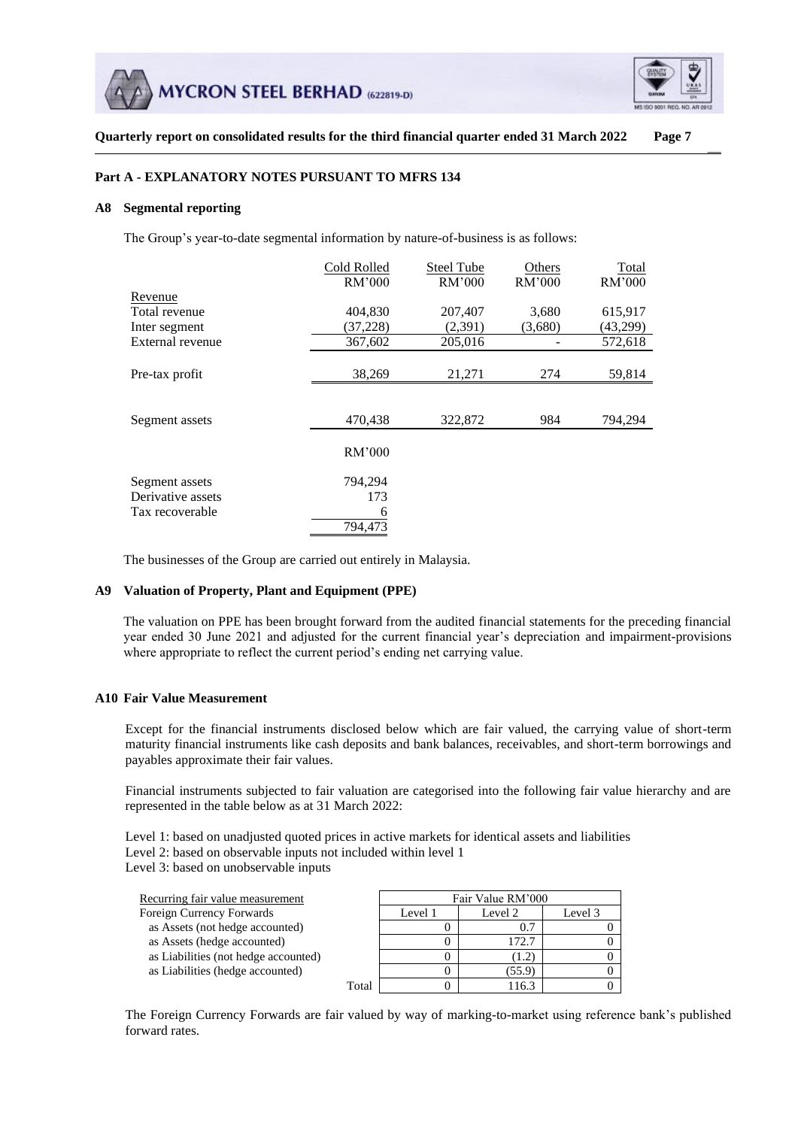



**Quarterly report on consolidated results for the third financial quarter ended 31 March 2022 Page 7**  $\overline{\phantom{a}}$ 

# **Part A - EXPLANATORY NOTES PURSUANT TO MFRS 134**

### **A8 Segmental reporting**

The Group's year-to-date segmental information by nature-of-business is as follows:

|                   | Cold Rolled | <b>Steel Tube</b> | Others  | Total    |
|-------------------|-------------|-------------------|---------|----------|
|                   | RM'000      | RM'000            | RM'000  | RM'000   |
| Revenue           |             |                   |         |          |
| Total revenue     | 404,830     | 207,407           | 3,680   | 615,917  |
| Inter segment     | (37, 228)   | (2,391)           | (3,680) | (43,299) |
| External revenue  | 367,602     | 205,016           |         | 572,618  |
|                   |             |                   |         |          |
| Pre-tax profit    | 38,269      | 21,271            | 274     | 59,814   |
|                   |             |                   |         |          |
| Segment assets    | 470,438     | 322,872           | 984     | 794,294  |
|                   | RM'000      |                   |         |          |
| Segment assets    | 794,294     |                   |         |          |
| Derivative assets | 173         |                   |         |          |
| Tax recoverable   | 6           |                   |         |          |
|                   | 794,473     |                   |         |          |

The businesses of the Group are carried out entirely in Malaysia.

### **A9 Valuation of Property, Plant and Equipment (PPE)**

The valuation on PPE has been brought forward from the audited financial statements for the preceding financial year ended 30 June 2021 and adjusted for the current financial year's depreciation and impairment-provisions where appropriate to reflect the current period's ending net carrying value.

### **A10 Fair Value Measurement**

Except for the financial instruments disclosed below which are fair valued, the carrying value of short-term maturity financial instruments like cash deposits and bank balances, receivables, and short-term borrowings and payables approximate their fair values.

Financial instruments subjected to fair valuation are categorised into the following fair value hierarchy and are represented in the table below as at 31 March 2022:

Level 1: based on unadjusted quoted prices in active markets for identical assets and liabilities Level 2: based on observable inputs not included within level 1 Level 3: based on unobservable inputs

| Recurring fair value measurement     |       | Fair Value RM'000             |        |  |  |
|--------------------------------------|-------|-------------------------------|--------|--|--|
| Foreign Currency Forwards            |       | Level 2<br>Level 3<br>Level 1 |        |  |  |
| as Assets (not hedge accounted)      |       |                               | 0.7    |  |  |
| as Assets (hedge accounted)          |       |                               | 172.7  |  |  |
| as Liabilities (not hedge accounted) |       |                               | (1.2)  |  |  |
| as Liabilities (hedge accounted)     |       |                               | (55.9) |  |  |
|                                      | Total |                               | 163    |  |  |

The Foreign Currency Forwards are fair valued by way of marking-to-market using reference bank's published forward rates.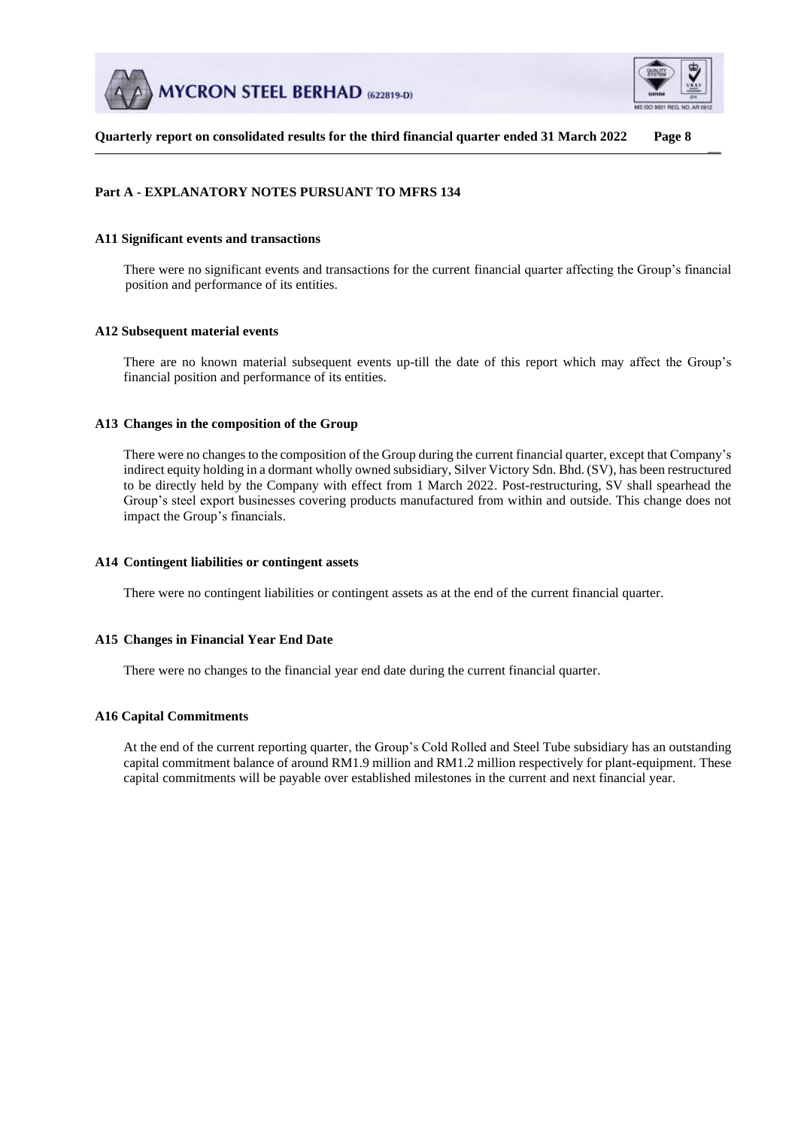



**Quarterly report on consolidated results for the third financial quarter ended 31 March 2022 Page 8**  $\overline{\phantom{a}}$ 

# **Part A - EXPLANATORY NOTES PURSUANT TO MFRS 134**

### **A11 Significant events and transactions**

There were no significant events and transactions for the current financial quarter affecting the Group's financial position and performance of its entities.

### **A12 Subsequent material events**

There are no known material subsequent events up-till the date of this report which may affect the Group's financial position and performance of its entities.

### **A13 Changes in the composition of the Group**

There were no changes to the composition of the Group during the current financial quarter, except that Company's indirect equity holding in a dormant wholly owned subsidiary, Silver Victory Sdn. Bhd. (SV), has been restructured to be directly held by the Company with effect from 1 March 2022. Post-restructuring, SV shall spearhead the Group's steel export businesses covering products manufactured from within and outside. This change does not impact the Group's financials.

### **A14 Contingent liabilities or contingent assets**

There were no contingent liabilities or contingent assets as at the end of the current financial quarter.

### **A15 Changes in Financial Year End Date**

There were no changes to the financial year end date during the current financial quarter.

### **A16 Capital Commitments**

At the end of the current reporting quarter, the Group's Cold Rolled and Steel Tube subsidiary has an outstanding capital commitment balance of around RM1.9 million and RM1.2 million respectively for plant-equipment. These capital commitments will be payable over established milestones in the current and next financial year.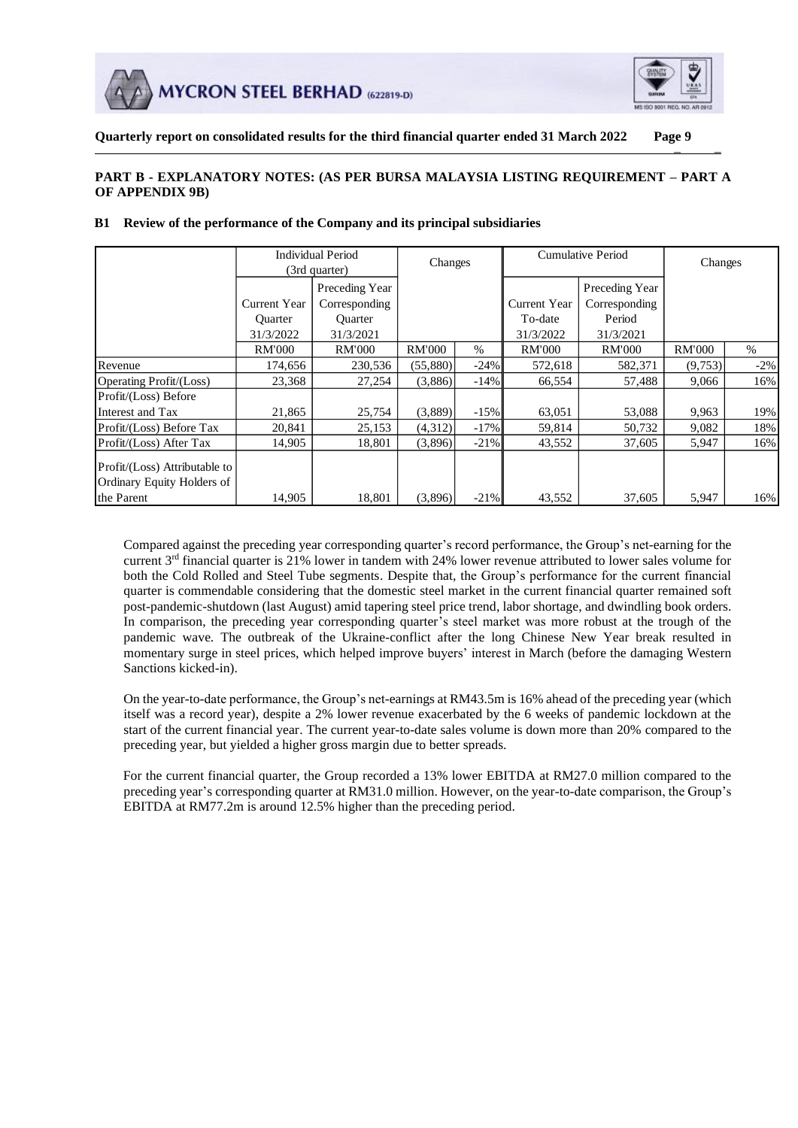



**Quarterly report on consolidated results for the third financial quarter ended 31 March 2022 Page 9** ,<br>\_\_\_\_\_\_\_\_

# **PART B - EXPLANATORY NOTES: (AS PER BURSA MALAYSIA LISTING REQUIREMENT – PART A OF APPENDIX 9B)**

|                                                             |               | <b>Individual Period</b><br>(3rd quarter) | Changes       |         | <b>Cumulative Period</b> |                | Changes       |       |
|-------------------------------------------------------------|---------------|-------------------------------------------|---------------|---------|--------------------------|----------------|---------------|-------|
|                                                             |               | Preceding Year                            |               |         |                          | Preceding Year |               |       |
|                                                             | Current Year  | Corresponding                             |               |         | Current Year             | Corresponding  |               |       |
|                                                             | Quarter       | <b>Ouarter</b>                            |               |         | To-date                  | Period         |               |       |
|                                                             | 31/3/2022     | 31/3/2021                                 |               |         | 31/3/2022                | 31/3/2021      |               |       |
|                                                             | <b>RM'000</b> | <b>RM'000</b>                             | <b>RM'000</b> | $\%$    | <b>RM'000</b>            | <b>RM'000</b>  | <b>RM'000</b> | $\%$  |
| Revenue                                                     | 174,656       | 230,536                                   | (55,880)      | $-24%$  | 572,618                  | 582,371        | (9,753)       | $-2%$ |
| Operating Profit/(Loss)                                     | 23,368        | 27,254                                    | (3,886)       | $-14%$  | 66,554                   | 57,488         | 9,066         | 16%   |
| Profit/(Loss) Before                                        |               |                                           |               |         |                          |                |               |       |
| Interest and Tax                                            | 21,865        | 25,754                                    | (3,889)       | $-15%$  | 63,051                   | 53,088         | 9,963         | 19%   |
| Profit/(Loss) Before Tax                                    | 20,841        | 25,153                                    | (4,312)       | $-17%$  | 59,814                   | 50,732         | 9,082         | 18%   |
| Profit/(Loss) After Tax                                     | 14,905        | 18,801                                    | (3,896)       | $-21%$  | 43,552                   | 37,605         | 5,947         | 16%   |
| Profit/(Loss) Attributable to<br>Ordinary Equity Holders of |               |                                           |               |         |                          |                |               |       |
| the Parent                                                  | 14,905        | 18,801                                    | (3,896)       | $-21\%$ | 43,552                   | 37,605         | 5,947         | 16%   |

### **B1 Review of the performance of the Company and its principal subsidiaries**

Compared against the preceding year corresponding quarter's record performance, the Group's net-earning for the current  $3<sup>rd</sup>$  financial quarter is 21% lower in tandem with 24% lower revenue attributed to lower sales volume for both the Cold Rolled and Steel Tube segments. Despite that, the Group's performance for the current financial quarter is commendable considering that the domestic steel market in the current financial quarter remained soft post-pandemic-shutdown (last August) amid tapering steel price trend, labor shortage, and dwindling book orders. In comparison, the preceding year corresponding quarter's steel market was more robust at the trough of the pandemic wave. The outbreak of the Ukraine-conflict after the long Chinese New Year break resulted in momentary surge in steel prices, which helped improve buyers' interest in March (before the damaging Western Sanctions kicked-in).

On the year-to-date performance, the Group's net-earnings at RM43.5m is 16% ahead of the preceding year (which itself was a record year), despite a 2% lower revenue exacerbated by the 6 weeks of pandemic lockdown at the start of the current financial year. The current year-to-date sales volume is down more than 20% compared to the preceding year, but yielded a higher gross margin due to better spreads.

For the current financial quarter, the Group recorded a 13% lower EBITDA at RM27.0 million compared to the preceding year's corresponding quarter at RM31.0 million. However, on the year-to-date comparison, the Group's EBITDA at RM77.2m is around 12.5% higher than the preceding period.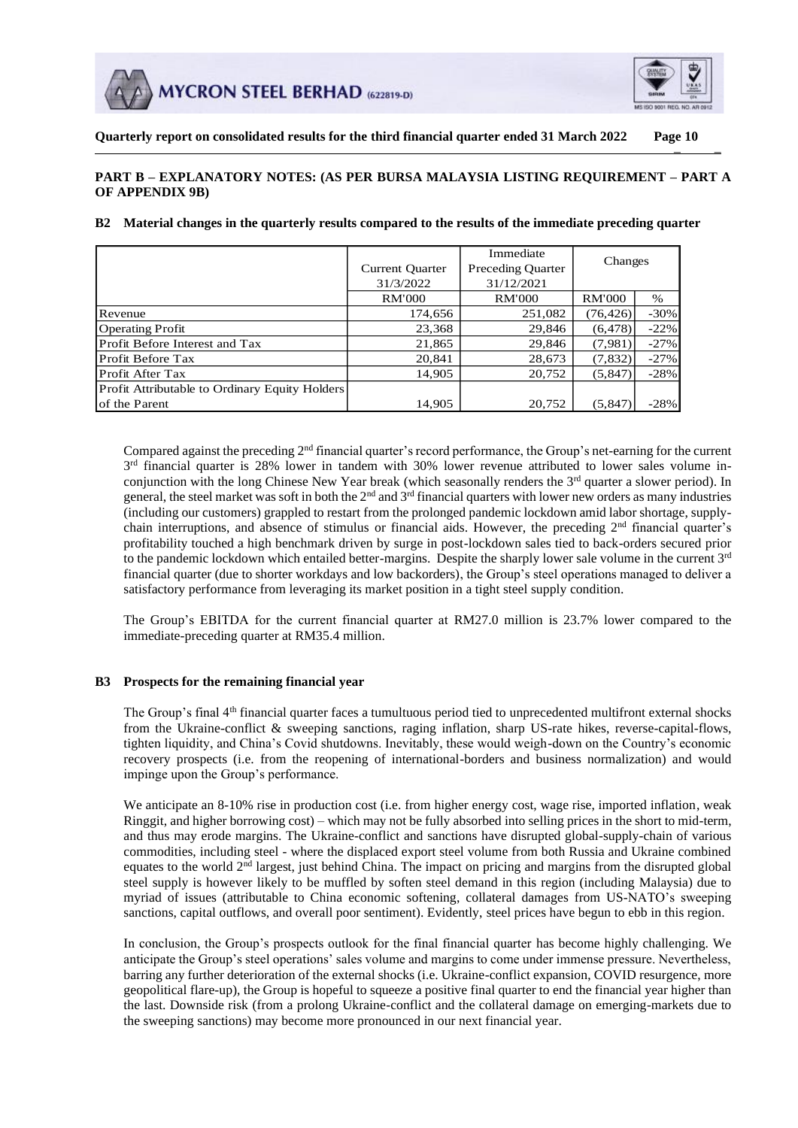



**Quarterly report on consolidated results for the third financial quarter ended 31 March 2022 Page 10** ,<br>\_\_\_\_\_\_\_\_

# **PART B – EXPLANATORY NOTES: (AS PER BURSA MALAYSIA LISTING REQUIREMENT – PART A OF APPENDIX 9B)**

|  |  |  | B2 Material changes in the quarterly results compared to the results of the immediate preceding quarter |
|--|--|--|---------------------------------------------------------------------------------------------------------|
|--|--|--|---------------------------------------------------------------------------------------------------------|

|                                                |                        | Immediate                | Changes       |         |
|------------------------------------------------|------------------------|--------------------------|---------------|---------|
|                                                | <b>Current Quarter</b> | <b>Preceding Quarter</b> |               |         |
|                                                | 31/3/2022              | 31/12/2021               |               |         |
|                                                | <b>RM'000</b>          | <b>RM'000</b>            | <b>RM'000</b> | $\%$    |
| Revenue                                        | 174,656                | 251,082                  | (76, 426)     | $-30\%$ |
| <b>Operating Profit</b>                        | 23,368                 | 29,846                   | (6, 478)      | $-22\%$ |
| Profit Before Interest and Tax                 | 21,865                 | 29,846                   | (7,981)       | $-27%$  |
| Profit Before Tax                              | 20,841                 | 28,673                   | (7,832)       | $-27%$  |
| Profit After Tax                               | 14,905                 | 20,752                   | (5,847)       | $-28%$  |
| Profit Attributable to Ordinary Equity Holders |                        |                          |               |         |
| of the Parent                                  | 14,905                 | 20,752                   | (5,847)       | $-28%$  |

Compared against the preceding 2nd financial quarter's record performance, the Group's net-earning for the current  $3<sup>rd</sup>$  financial quarter is 28% lower in tandem with 30% lower revenue attributed to lower sales volume inconjunction with the long Chinese New Year break (which seasonally renders the  $3<sup>rd</sup>$  quarter a slower period). In general, the steel market was soft in both the  $2<sup>nd</sup>$  and  $3<sup>rd</sup>$  financial quarters with lower new orders as many industries (including our customers) grappled to restart from the prolonged pandemic lockdown amid labor shortage, supplychain interruptions, and absence of stimulus or financial aids. However, the preceding  $2<sup>nd</sup>$  financial quarter's profitability touched a high benchmark driven by surge in post-lockdown sales tied to back-orders secured prior to the pandemic lockdown which entailed better-margins. Despite the sharply lower sale volume in the current 3<sup>rd</sup> financial quarter (due to shorter workdays and low backorders), the Group's steel operations managed to deliver a satisfactory performance from leveraging its market position in a tight steel supply condition.

The Group's EBITDA for the current financial quarter at RM27.0 million is 23.7% lower compared to the immediate-preceding quarter at RM35.4 million.

# **B3 Prospects for the remaining financial year**

The Group's final 4th financial quarter faces a tumultuous period tied to unprecedented multifront external shocks from the Ukraine-conflict & sweeping sanctions, raging inflation, sharp US-rate hikes, reverse-capital-flows, tighten liquidity, and China's Covid shutdowns. Inevitably, these would weigh-down on the Country's economic recovery prospects (i.e. from the reopening of international-borders and business normalization) and would impinge upon the Group's performance.

We anticipate an 8-10% rise in production cost (i.e. from higher energy cost, wage rise, imported inflation, weak Ringgit, and higher borrowing cost) – which may not be fully absorbed into selling prices in the short to mid-term, and thus may erode margins. The Ukraine-conflict and sanctions have disrupted global-supply-chain of various commodities, including steel - where the displaced export steel volume from both Russia and Ukraine combined equates to the world  $2<sup>nd</sup>$  largest, just behind China. The impact on pricing and margins from the disrupted global steel supply is however likely to be muffled by soften steel demand in this region (including Malaysia) due to myriad of issues (attributable to China economic softening, collateral damages from US-NATO's sweeping sanctions, capital outflows, and overall poor sentiment). Evidently, steel prices have begun to ebb in this region.

In conclusion, the Group's prospects outlook for the final financial quarter has become highly challenging. We anticipate the Group's steel operations' sales volume and margins to come under immense pressure. Nevertheless, barring any further deterioration of the external shocks (i.e. Ukraine-conflict expansion, COVID resurgence, more geopolitical flare-up), the Group is hopeful to squeeze a positive final quarter to end the financial year higher than the last. Downside risk (from a prolong Ukraine-conflict and the collateral damage on emerging-markets due to the sweeping sanctions) may become more pronounced in our next financial year.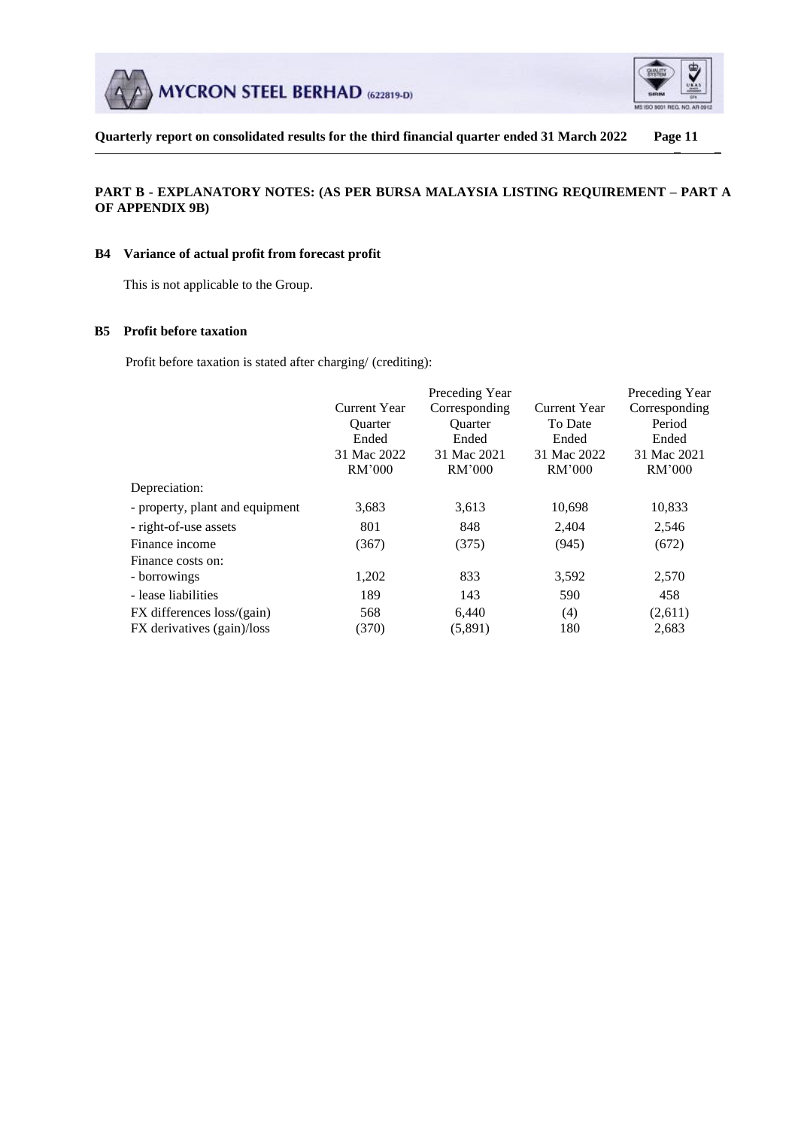



**Quarterly report on consolidated results for the third financial quarter ended 31 March 2022** Page 11

# **PART B - EXPLANATORY NOTES: (AS PER BURSA MALAYSIA LISTING REQUIREMENT – PART A OF APPENDIX 9B)**

## **B4 Variance of actual profit from forecast profit**

This is not applicable to the Group.

## **B5 Profit before taxation**

Profit before taxation is stated after charging/ (crediting):

|                                 |                       | Preceding Year        |                       | Preceding Year        |
|---------------------------------|-----------------------|-----------------------|-----------------------|-----------------------|
|                                 | <b>Current Year</b>   | Corresponding         | <b>Current Year</b>   | Corresponding         |
|                                 | <b>Ouarter</b>        | <b>Ouarter</b>        | To Date               | Period                |
|                                 | Ended                 | Ended                 | Ended                 | Ended                 |
|                                 | 31 Mac 2022<br>RM'000 | 31 Mac 2021<br>RM'000 | 31 Mac 2022<br>RM'000 | 31 Mac 2021<br>RM'000 |
| Depreciation:                   |                       |                       |                       |                       |
| - property, plant and equipment | 3,683                 | 3,613                 | 10,698                | 10,833                |
| - right-of-use assets           | 801                   | 848                   | 2,404                 | 2,546                 |
| Finance income                  | (367)                 | (375)                 | (945)                 | (672)                 |
| Finance costs on:               |                       |                       |                       |                       |
| - borrowings                    | 1,202                 | 833                   | 3,592                 | 2,570                 |
| - lease liabilities             | 189                   | 143                   | 590                   | 458                   |
| FX differences loss/(gain)      | 568                   | 6,440                 | (4)                   | (2,611)               |
| FX derivatives (gain)/loss      | (370)                 | (5,891)               | 180                   | 2,683                 |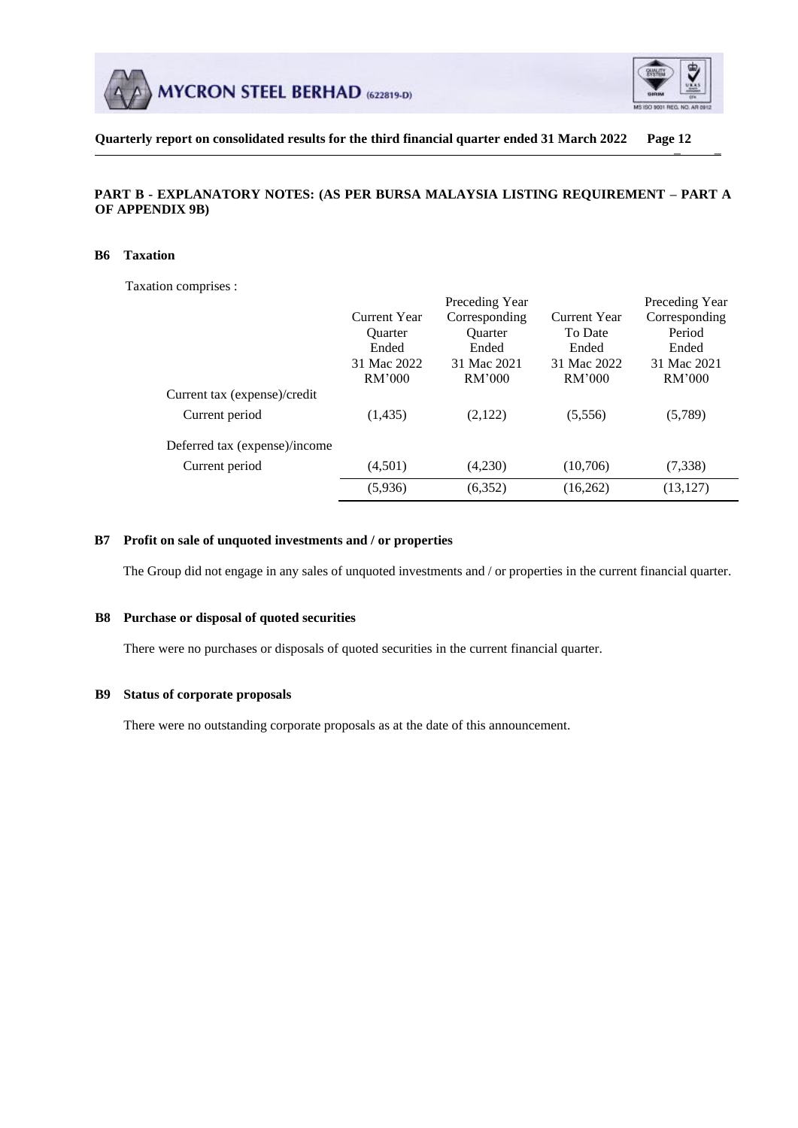



**Quarterly report on consolidated results for the third financial quarter ended 31 March 2022 Page 12**  $\overline{\phantom{a}}$ 

# **PART B - EXPLANATORY NOTES: (AS PER BURSA MALAYSIA LISTING REQUIREMENT – PART A OF APPENDIX 9B)**

### **B6 Taxation**

Taxation comprises :

|                               |                | Preceding Year |              | Preceding Year |
|-------------------------------|----------------|----------------|--------------|----------------|
|                               | Current Year   | Corresponding  | Current Year | Corresponding  |
|                               | <b>Ouarter</b> | <b>Ouarter</b> | To Date      | Period         |
|                               | Ended          | Ended          | Ended        | Ended          |
|                               | 31 Mac 2022    | 31 Mac 2021    | 31 Mac 2022  | 31 Mac 2021    |
|                               | RM'000         | RM'000         | RM'000       | RM'000         |
| Current tax (expense)/credit  |                |                |              |                |
| Current period                | (1, 435)       | (2,122)        | (5,556)      | (5,789)        |
| Deferred tax (expense)/income |                |                |              |                |
| Current period                | (4,501)        | (4,230)        | (10,706)     | (7, 338)       |
|                               | (5,936)        | (6,352)        | (16,262)     | (13, 127)      |
|                               |                |                |              |                |

## **B7 Profit on sale of unquoted investments and / or properties**

The Group did not engage in any sales of unquoted investments and / or properties in the current financial quarter.

## **B8 Purchase or disposal of quoted securities**

There were no purchases or disposals of quoted securities in the current financial quarter.

## **B9 Status of corporate proposals**

There were no outstanding corporate proposals as at the date of this announcement.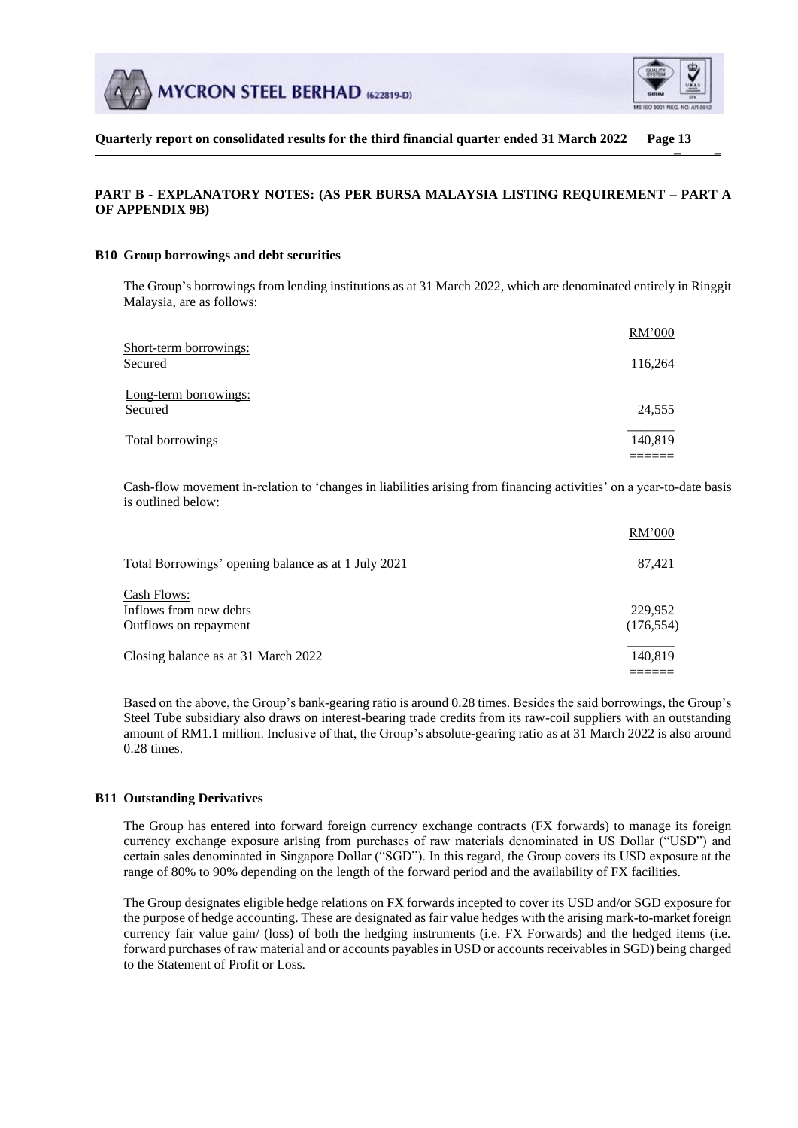



**Quarterly report on consolidated results for the third financial quarter ended 31 March 2022 Page 13**  $\overline{\phantom{a}}$ 

# **PART B - EXPLANATORY NOTES: (AS PER BURSA MALAYSIA LISTING REQUIREMENT – PART A OF APPENDIX 9B)**

### **B10 Group borrowings and debt securities**

The Group's borrowings from lending institutions as at 31 March 2022, which are denominated entirely in Ringgit Malaysia, are as follows:

| Short-term borrowings:           | RM'000  |
|----------------------------------|---------|
| Secured                          | 116,264 |
| Long-term borrowings:<br>Secured | 24,555  |
| Total borrowings                 | 140,819 |
|                                  |         |

Cash-flow movement in-relation to 'changes in liabilities arising from financing activities' on a year-to-date basis is outlined below:

|                                                     | RM'000     |
|-----------------------------------------------------|------------|
| Total Borrowings' opening balance as at 1 July 2021 | 87,421     |
| Cash Flows:                                         |            |
| Inflows from new debts                              | 229.952    |
| Outflows on repayment                               | (176, 554) |
| Closing balance as at 31 March 2022                 | 140,819    |
|                                                     |            |

Based on the above, the Group's bank-gearing ratio is around 0.28 times. Besides the said borrowings, the Group's Steel Tube subsidiary also draws on interest-bearing trade credits from its raw-coil suppliers with an outstanding amount of RM1.1 million. Inclusive of that, the Group's absolute-gearing ratio as at 31 March 2022 is also around 0.28 times.

### **B11 Outstanding Derivatives**

The Group has entered into forward foreign currency exchange contracts (FX forwards) to manage its foreign currency exchange exposure arising from purchases of raw materials denominated in US Dollar ("USD") and certain sales denominated in Singapore Dollar ("SGD"). In this regard, the Group covers its USD exposure at the range of 80% to 90% depending on the length of the forward period and the availability of FX facilities.

The Group designates eligible hedge relations on FX forwards incepted to cover its USD and/or SGD exposure for the purpose of hedge accounting. These are designated as fair value hedges with the arising mark-to-market foreign currency fair value gain/ (loss) of both the hedging instruments (i.e. FX Forwards) and the hedged items (i.e. forward purchases of raw material and or accounts payables in USD or accounts receivables in SGD) being charged to the Statement of Profit or Loss.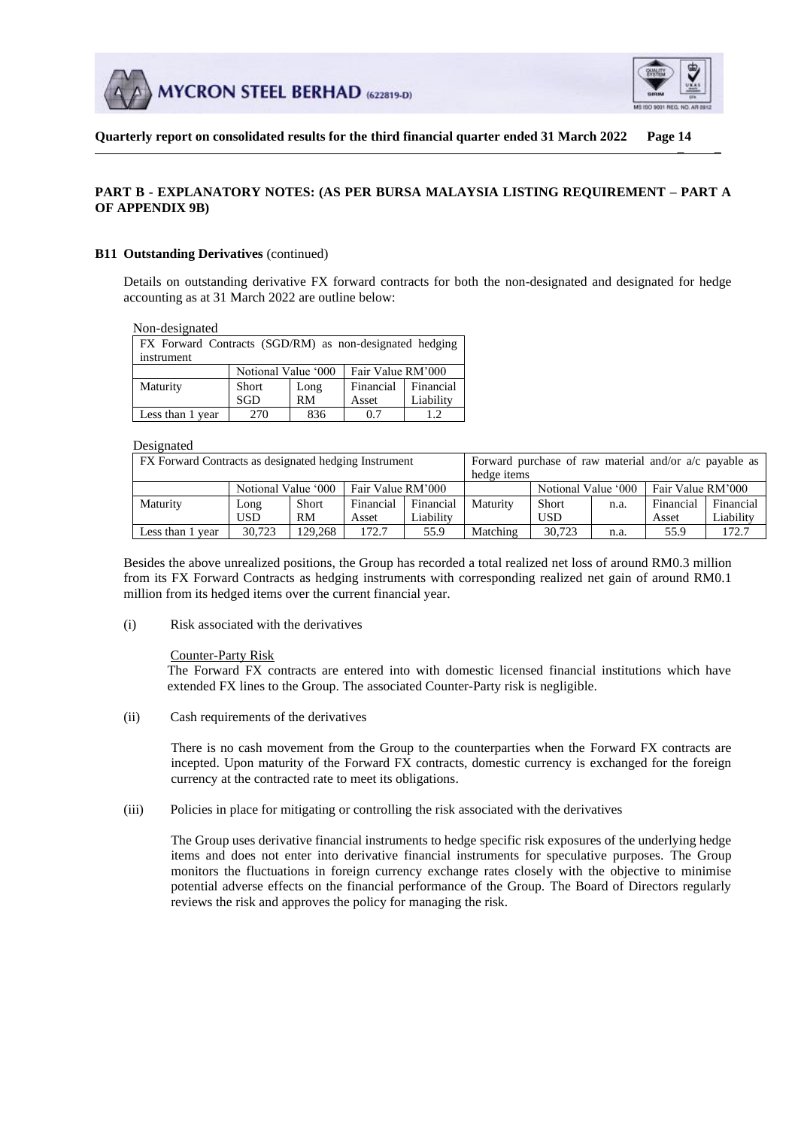



**Quarterly report on consolidated results for the third financial quarter ended 31 March 2022 Page 14**  $\overline{\phantom{a}}$ 

# **PART B - EXPLANATORY NOTES: (AS PER BURSA MALAYSIA LISTING REQUIREMENT – PART A OF APPENDIX 9B)**

### **B11 Outstanding Derivatives** (continued)

Details on outstanding derivative FX forward contracts for both the non-designated and designated for hedge accounting as at 31 March 2022 are outline below:

Non-designated

| FX Forward Contracts (SGD/RM) as non-designated hedging<br>instrument |                     |      |                   |           |  |
|-----------------------------------------------------------------------|---------------------|------|-------------------|-----------|--|
|                                                                       | Notional Value '000 |      | Fair Value RM'000 |           |  |
| Maturity                                                              | <b>Short</b>        | Long | Financial         | Financial |  |
|                                                                       | SGD                 | RM   | Asset             | Liability |  |
| Less than 1 year                                                      | 270                 | 836  | 0.7               | 12        |  |

### Designated

| FX Forward Contracts as designated hedging Instrument |                     |           | Forward purchase of raw material and/or a/c payable as<br>hedge items |           |          |                     |      |                   |           |
|-------------------------------------------------------|---------------------|-----------|-----------------------------------------------------------------------|-----------|----------|---------------------|------|-------------------|-----------|
|                                                       | Notional Value '000 |           | Fair Value RM'000                                                     |           |          | Notional Value '000 |      | Fair Value RM'000 |           |
| Maturity                                              | $_{\text{long}}$    | Short     | Financial                                                             | Financial | Maturity | Short               | n.a. | Financial         | Financial |
|                                                       | USD                 | <b>RM</b> | Asset                                                                 | Liability |          | <b>USD</b>          |      | Asset             | Liability |
| Less than 1 year                                      | 30.723              | 129,268   | 172.7                                                                 | 55.9      | Matching | 30.723              | n.a. | 55.9              | 172.7     |

Besides the above unrealized positions, the Group has recorded a total realized net loss of around RM0.3 million from its FX Forward Contracts as hedging instruments with corresponding realized net gain of around RM0.1 million from its hedged items over the current financial year.

(i) Risk associated with the derivatives

### Counter-Party Risk

The Forward FX contracts are entered into with domestic licensed financial institutions which have extended FX lines to the Group. The associated Counter-Party risk is negligible.

(ii) Cash requirements of the derivatives

There is no cash movement from the Group to the counterparties when the Forward FX contracts are incepted. Upon maturity of the Forward FX contracts, domestic currency is exchanged for the foreign currency at the contracted rate to meet its obligations.

(iii) Policies in place for mitigating or controlling the risk associated with the derivatives

The Group uses derivative financial instruments to hedge specific risk exposures of the underlying hedge items and does not enter into derivative financial instruments for speculative purposes. The Group monitors the fluctuations in foreign currency exchange rates closely with the objective to minimise potential adverse effects on the financial performance of the Group. The Board of Directors regularly reviews the risk and approves the policy for managing the risk.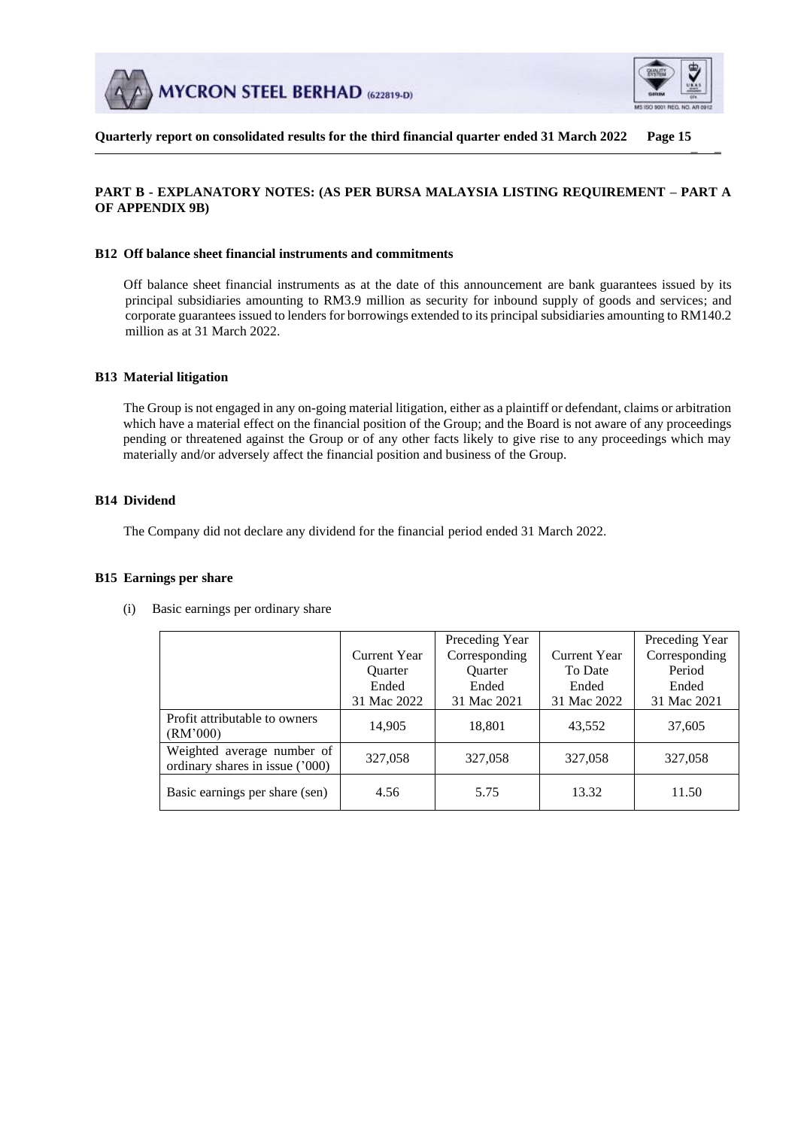



**Quarterly report on consolidated results for the third financial quarter ended 31 March 2022 Page 15**  $\overline{\phantom{a}}$ 

# **PART B - EXPLANATORY NOTES: (AS PER BURSA MALAYSIA LISTING REQUIREMENT – PART A OF APPENDIX 9B)**

### **B12 Off balance sheet financial instruments and commitments**

Off balance sheet financial instruments as at the date of this announcement are bank guarantees issued by its principal subsidiaries amounting to RM3.9 million as security for inbound supply of goods and services; and corporate guarantees issued to lenders for borrowings extended to its principal subsidiaries amounting to RM140.2 million as at 31 March 2022.

### **B13 Material litigation**

The Group is not engaged in any on-going material litigation, either as a plaintiff or defendant, claims or arbitration which have a material effect on the financial position of the Group; and the Board is not aware of any proceedings pending or threatened against the Group or of any other facts likely to give rise to any proceedings which may materially and/or adversely affect the financial position and business of the Group.

### **B14 Dividend**

The Company did not declare any dividend for the financial period ended 31 March 2022.

### **B15 Earnings per share**

|                                                               |                | Preceding Year |              | Preceding Year |
|---------------------------------------------------------------|----------------|----------------|--------------|----------------|
|                                                               | Current Year   | Corresponding  | Current Year | Corresponding  |
|                                                               | <b>Ouarter</b> | <b>Ouarter</b> | To Date      | Period         |
|                                                               | Ended          | Ended          | Ended        | Ended          |
|                                                               | 31 Mac 2022    | 31 Mac 2021    | 31 Mac 2022  | 31 Mac 2021    |
| Profit attributable to owners<br>(RM'000)                     | 14,905         | 18,801         | 43.552       | 37,605         |
| Weighted average number of<br>ordinary shares in issue ('000) | 327,058        | 327,058        | 327,058      | 327,058        |
| Basic earnings per share (sen)                                | 4.56           | 5.75           | 13.32        | 11.50          |

(i) Basic earnings per ordinary share